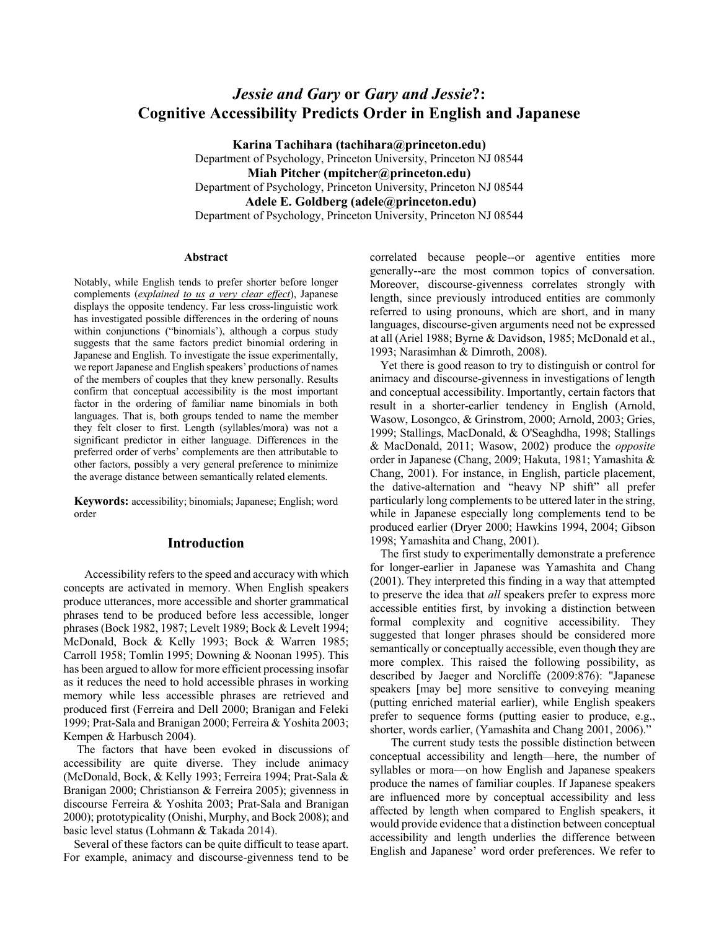# *Jessie and Gary* **or** *Gary and Jessie***?: Cognitive Accessibility Predicts Order in English and Japanese**

**Karina Tachihara (tachihara@princeton.edu)** Department of Psychology, Princeton University, Princeton NJ 08544 **Miah Pitcher (mpitcher@princeton.edu)** Department of Psychology, Princeton University, Princeton NJ 08544 **Adele E. Goldberg (adele@princeton.edu)** Department of Psychology, Princeton University, Princeton NJ 08544

#### **Abstract**

Notably, while English tends to prefer shorter before longer complements (*explained to us a very clear effect*), Japanese displays the opposite tendency. Far less cross-linguistic work has investigated possible differences in the ordering of nouns within conjunctions ("binomials'), although a corpus study suggests that the same factors predict binomial ordering in Japanese and English. To investigate the issue experimentally, we report Japanese and English speakers' productions of names of the members of couples that they knew personally. Results confirm that conceptual accessibility is the most important factor in the ordering of familiar name binomials in both languages. That is, both groups tended to name the member they felt closer to first. Length (syllables/mora) was not a significant predictor in either language. Differences in the preferred order of verbs' complements are then attributable to other factors, possibly a very general preference to minimize the average distance between semantically related elements.

**Keywords:** accessibility; binomials; Japanese; English; word order

# **Introduction**

Accessibility refers to the speed and accuracy with which concepts are activated in memory. When English speakers produce utterances, more accessible and shorter grammatical phrases tend to be produced before less accessible, longer phrases (Bock 1982, 1987; Levelt 1989; Bock & Levelt 1994; McDonald, Bock & Kelly 1993; Bock & Warren 1985; Carroll 1958; Tomlin 1995; Downing & Noonan 1995). This has been argued to allow for more efficient processing insofar as it reduces the need to hold accessible phrases in working memory while less accessible phrases are retrieved and produced first (Ferreira and Dell 2000; Branigan and Feleki 1999; Prat-Sala and Branigan 2000; Ferreira & Yoshita 2003; Kempen & Harbusch 2004).

The factors that have been evoked in discussions of accessibility are quite diverse. They include animacy (McDonald, Bock, & Kelly 1993; Ferreira 1994; Prat-Sala & Branigan 2000; Christianson & Ferreira 2005); givenness in discourse Ferreira & Yoshita 2003; Prat-Sala and Branigan 2000); prototypicality (Onishi, Murphy, and Bock 2008); and basic level status (Lohmann & Takada 2014).

Several of these factors can be quite difficult to tease apart. For example, animacy and discourse-givenness tend to be correlated because people--or agentive entities more generally--are the most common topics of conversation. Moreover, discourse-givenness correlates strongly with length, since previously introduced entities are commonly referred to using pronouns, which are short, and in many languages, discourse-given arguments need not be expressed at all (Ariel 1988; Byrne & Davidson, 1985; McDonald et al., 1993; Narasimhan & Dimroth, 2008).

Yet there is good reason to try to distinguish or control for animacy and discourse-givenness in investigations of length and conceptual accessibility. Importantly, certain factors that result in a shorter-earlier tendency in English (Arnold, Wasow, Losongco, & Grinstrom, 2000; Arnold, 2003; Gries, 1999; Stallings, MacDonald, & O'Seaghdha, 1998; Stallings & MacDonald, 2011; Wasow, 2002) produce the *opposite* order in Japanese (Chang, 2009; Hakuta, 1981; Yamashita & Chang, 2001). For instance, in English, particle placement, the dative-alternation and "heavy NP shift" all prefer particularly long complements to be uttered later in the string, while in Japanese especially long complements tend to be produced earlier (Dryer 2000; Hawkins 1994, 2004; Gibson 1998; Yamashita and Chang, 2001).

The first study to experimentally demonstrate a preference for longer-earlier in Japanese was Yamashita and Chang (2001). They interpreted this finding in a way that attempted to preserve the idea that *all* speakers prefer to express more accessible entities first, by invoking a distinction between formal complexity and cognitive accessibility. They suggested that longer phrases should be considered more semantically or conceptually accessible, even though they are more complex. This raised the following possibility, as described by Jaeger and Norcliffe (2009:876): "Japanese speakers [may be] more sensitive to conveying meaning (putting enriched material earlier), while English speakers prefer to sequence forms (putting easier to produce, e.g., shorter, words earlier, (Yamashita and Chang 2001, 2006)."

The current study tests the possible distinction between conceptual accessibility and length—here, the number of syllables or mora—on how English and Japanese speakers produce the names of familiar couples. If Japanese speakers are influenced more by conceptual accessibility and less affected by length when compared to English speakers, it would provide evidence that a distinction between conceptual accessibility and length underlies the difference between English and Japanese' word order preferences. We refer to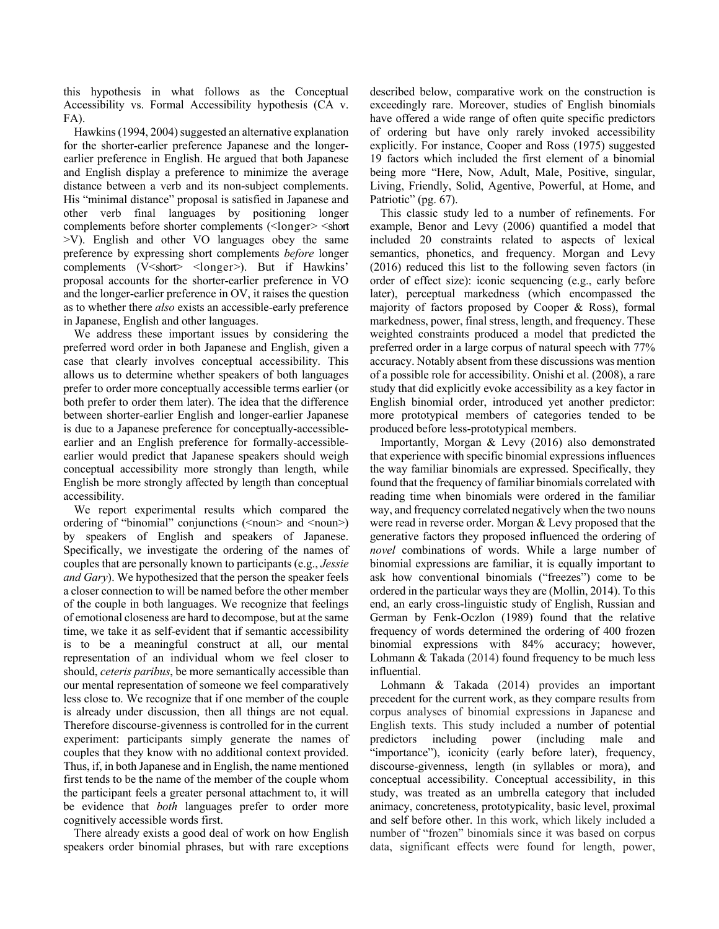this hypothesis in what follows as the Conceptual Accessibility vs. Formal Accessibility hypothesis (CA v. FA).

Hawkins (1994, 2004) suggested an alternative explanation for the shorter-earlier preference Japanese and the longerearlier preference in English. He argued that both Japanese and English display a preference to minimize the average distance between a verb and its non-subject complements. His "minimal distance" proposal is satisfied in Japanese and other verb final languages by positioning longer complements before shorter complements (<longer> <short >V). English and other VO languages obey the same preference by expressing short complements *before* longer complements (V<short> <longer>). But if Hawkins' proposal accounts for the shorter-earlier preference in VO and the longer-earlier preference in OV, it raises the question as to whether there *also* exists an accessible-early preference in Japanese, English and other languages.

We address these important issues by considering the preferred word order in both Japanese and English, given a case that clearly involves conceptual accessibility. This allows us to determine whether speakers of both languages prefer to order more conceptually accessible terms earlier (or both prefer to order them later). The idea that the difference between shorter-earlier English and longer-earlier Japanese is due to a Japanese preference for conceptually-accessibleearlier and an English preference for formally-accessibleearlier would predict that Japanese speakers should weigh conceptual accessibility more strongly than length, while English be more strongly affected by length than conceptual accessibility.

We report experimental results which compared the ordering of "binomial" conjunctions (<noun> and <noun>) by speakers of English and speakers of Japanese. Specifically, we investigate the ordering of the names of couples that are personally known to participants (e.g., *Jessie and Gary*). We hypothesized that the person the speaker feels a closer connection to will be named before the other member of the couple in both languages. We recognize that feelings of emotional closeness are hard to decompose, but at the same time, we take it as self-evident that if semantic accessibility is to be a meaningful construct at all, our mental representation of an individual whom we feel closer to should, *ceteris paribus*, be more semantically accessible than our mental representation of someone we feel comparatively less close to. We recognize that if one member of the couple is already under discussion, then all things are not equal. Therefore discourse-givenness is controlled for in the current experiment: participants simply generate the names of couples that they know with no additional context provided. Thus, if, in both Japanese and in English, the name mentioned first tends to be the name of the member of the couple whom the participant feels a greater personal attachment to, it will be evidence that *both* languages prefer to order more cognitively accessible words first.

There already exists a good deal of work on how English speakers order binomial phrases, but with rare exceptions described below, comparative work on the construction is exceedingly rare. Moreover, studies of English binomials have offered a wide range of often quite specific predictors of ordering but have only rarely invoked accessibility explicitly. For instance, Cooper and Ross (1975) suggested 19 factors which included the first element of a binomial being more "Here, Now, Adult, Male, Positive, singular, Living, Friendly, Solid, Agentive, Powerful, at Home, and Patriotic" (pg. 67).

This classic study led to a number of refinements. For example, Benor and Levy (2006) quantified a model that included 20 constraints related to aspects of lexical semantics, phonetics, and frequency. Morgan and Levy (2016) reduced this list to the following seven factors (in order of effect size): iconic sequencing (e.g., early before later), perceptual markedness (which encompassed the majority of factors proposed by Cooper & Ross), formal markedness, power, final stress, length, and frequency. These weighted constraints produced a model that predicted the preferred order in a large corpus of natural speech with 77% accuracy. Notably absent from these discussions was mention of a possible role for accessibility. Onishi et al. (2008), a rare study that did explicitly evoke accessibility as a key factor in English binomial order, introduced yet another predictor: more prototypical members of categories tended to be produced before less-prototypical members.

Importantly, Morgan & Levy (2016) also demonstrated that experience with specific binomial expressions influences the way familiar binomials are expressed. Specifically, they found that the frequency of familiar binomials correlated with reading time when binomials were ordered in the familiar way, and frequency correlated negatively when the two nouns were read in reverse order. Morgan & Levy proposed that the generative factors they proposed influenced the ordering of *novel* combinations of words. While a large number of binomial expressions are familiar, it is equally important to ask how conventional binomials ("freezes") come to be ordered in the particular ways they are (Mollin, 2014). To this end, an early cross-linguistic study of English, Russian and German by Fenk-Oczlon (1989) found that the relative frequency of words determined the ordering of 400 frozen binomial expressions with 84% accuracy; however, Lohmann & Takada (2014) found frequency to be much less influential.

Lohmann & Takada (2014) provides an important precedent for the current work, as they compare results from corpus analyses of binomial expressions in Japanese and English texts. This study included a number of potential predictors including power (including male and "importance"), iconicity (early before later), frequency, discourse-givenness, length (in syllables or mora), and conceptual accessibility. Conceptual accessibility, in this study, was treated as an umbrella category that included animacy, concreteness, prototypicality, basic level, proximal and self before other. In this work, which likely included a number of "frozen" binomials since it was based on corpus data, significant effects were found for length, power,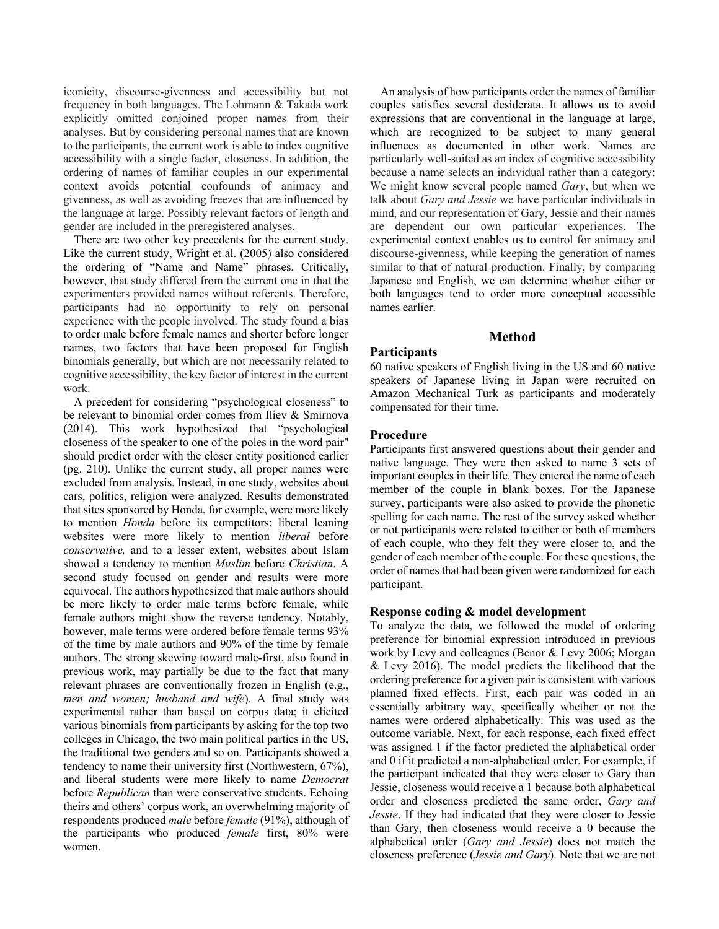iconicity, discourse-givenness and accessibility but not frequency in both languages. The Lohmann & Takada work explicitly omitted conjoined proper names from their analyses. But by considering personal names that are known to the participants, the current work is able to index cognitive accessibility with a single factor, closeness. In addition, the ordering of names of familiar couples in our experimental context avoids potential confounds of animacy and givenness, as well as avoiding freezes that are influenced by the language at large. Possibly relevant factors of length and gender are included in the preregistered analyses.

There are two other key precedents for the current study. Like the current study, Wright et al. (2005) also considered the ordering of "Name and Name" phrases. Critically, however, that study differed from the current one in that the experimenters provided names without referents. Therefore, participants had no opportunity to rely on personal experience with the people involved. The study found a bias to order male before female names and shorter before longer names, two factors that have been proposed for English binomials generally, but which are not necessarily related to cognitive accessibility, the key factor of interest in the current work.

A precedent for considering "psychological closeness" to be relevant to binomial order comes from Iliev & Smirnova (2014). This work hypothesized that "psychological closeness of the speaker to one of the poles in the word pair" should predict order with the closer entity positioned earlier (pg. 210). Unlike the current study, all proper names were excluded from analysis. Instead, in one study, websites about cars, politics, religion were analyzed. Results demonstrated that sites sponsored by Honda, for example, were more likely to mention *Honda* before its competitors; liberal leaning websites were more likely to mention *liberal* before *conservative,* and to a lesser extent, websites about Islam showed a tendency to mention *Muslim* before *Christian*. A second study focused on gender and results were more equivocal. The authors hypothesized that male authors should be more likely to order male terms before female, while female authors might show the reverse tendency. Notably, however, male terms were ordered before female terms 93% of the time by male authors and 90% of the time by female authors. The strong skewing toward male-first, also found in previous work, may partially be due to the fact that many relevant phrases are conventionally frozen in English (e.g., *men and women; husband and wife*). A final study was experimental rather than based on corpus data; it elicited various binomials from participants by asking for the top two colleges in Chicago, the two main political parties in the US, the traditional two genders and so on. Participants showed a tendency to name their university first (Northwestern, 67%), and liberal students were more likely to name *Democrat* before *Republican* than were conservative students. Echoing theirs and others' corpus work, an overwhelming majority of respondents produced *male* before *female* (91%), although of the participants who produced *female* first, 80% were women.

An analysis of how participants order the names of familiar couples satisfies several desiderata. It allows us to avoid expressions that are conventional in the language at large, which are recognized to be subject to many general influences as documented in other work. Names are particularly well-suited as an index of cognitive accessibility because a name selects an individual rather than a category: We might know several people named *Gary*, but when we talk about *Gary and Jessie* we have particular individuals in mind, and our representation of Gary, Jessie and their names are dependent our own particular experiences. The experimental context enables us to control for animacy and discourse-givenness, while keeping the generation of names similar to that of natural production. Finally, by comparing Japanese and English, we can determine whether either or both languages tend to order more conceptual accessible names earlier.

## **Method**

#### **Participants**

60 native speakers of English living in the US and 60 native speakers of Japanese living in Japan were recruited on Amazon Mechanical Turk as participants and moderately compensated for their time.

## **Procedure**

Participants first answered questions about their gender and native language. They were then asked to name 3 sets of important couples in their life. They entered the name of each member of the couple in blank boxes. For the Japanese survey, participants were also asked to provide the phonetic spelling for each name. The rest of the survey asked whether or not participants were related to either or both of members of each couple, who they felt they were closer to, and the gender of each member of the couple. For these questions, the order of names that had been given were randomized for each participant.

#### **Response coding & model development**

To analyze the data, we followed the model of ordering preference for binomial expression introduced in previous work by Levy and colleagues (Benor & Levy 2006; Morgan  $&$  Levy 2016). The model predicts the likelihood that the ordering preference for a given pair is consistent with various planned fixed effects. First, each pair was coded in an essentially arbitrary way, specifically whether or not the names were ordered alphabetically. This was used as the outcome variable. Next, for each response, each fixed effect was assigned 1 if the factor predicted the alphabetical order and 0 if it predicted a non-alphabetical order. For example, if the participant indicated that they were closer to Gary than Jessie, closeness would receive a 1 because both alphabetical order and closeness predicted the same order, *Gary and Jessie*. If they had indicated that they were closer to Jessie than Gary, then closeness would receive a 0 because the alphabetical order (*Gary and Jessie*) does not match the closeness preference (*Jessie and Gary*). Note that we are not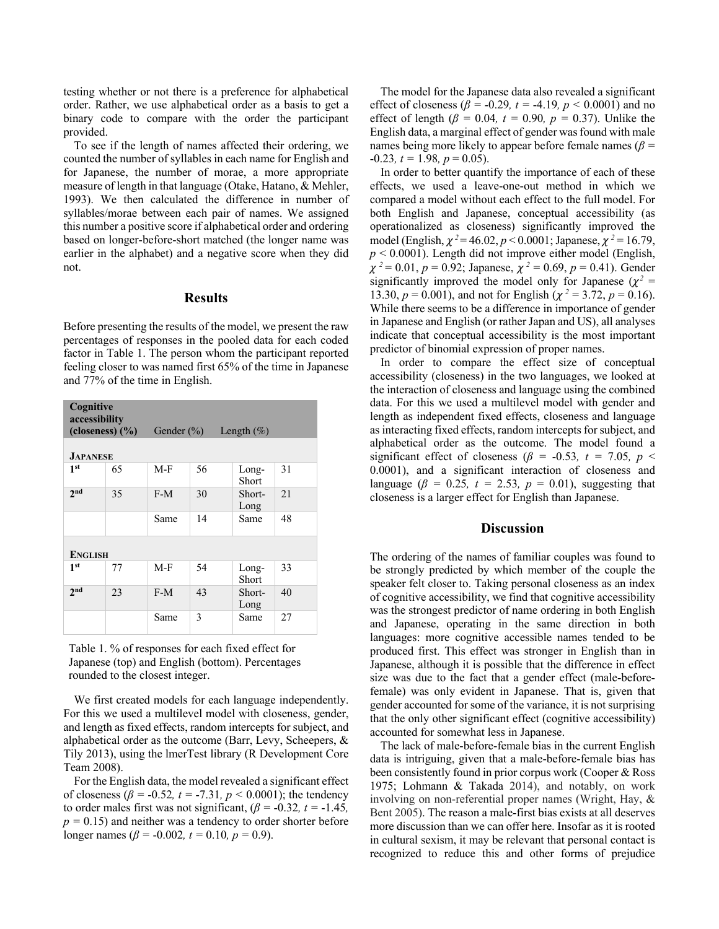testing whether or not there is a preference for alphabetical order. Rather, we use alphabetical order as a basis to get a binary code to compare with the order the participant provided.

To see if the length of names affected their ordering, we counted the number of syllables in each name for English and for Japanese, the number of morae, a more appropriate measure of length in that language (Otake, Hatano, & Mehler, 1993). We then calculated the difference in number of syllables/morae between each pair of names. We assigned this number a positive score if alphabetical order and ordering based on longer-before-short matched (the longer name was earlier in the alphabet) and a negative score when they did not.

## **Results**

Before presenting the results of the model, we present the raw percentages of responses in the pooled data for each coded factor in Table 1. The person whom the participant reported feeling closer to was named first 65% of the time in Japanese and 77% of the time in English.

| Cognitive<br>accessibility<br>(closeness) $(\frac{6}{6})$ |    | Gender $(\% )$ |    | Length $(\%)$  |     |
|-----------------------------------------------------------|----|----------------|----|----------------|-----|
| <b>JAPANESE</b>                                           |    |                |    |                |     |
| 1 <sup>st</sup>                                           | 65 | $M-F$          | 56 | Long-<br>Short | 31  |
| 2 <sub>nd</sub>                                           | 35 | $F-M$          | 30 | Short-<br>Long | 2.1 |
|                                                           |    | Same           | 14 | Same           | 48  |
| <b>ENGLISH</b>                                            |    |                |    |                |     |
| 1 <sup>st</sup>                                           | 77 | $M-F$          | 54 | Long-<br>Short | 33  |
| 2 <sub>nd</sub>                                           | 23 | $F-M$          | 43 | Short-<br>Long | 40  |
|                                                           |    | Same           | 3  | Same           | 27  |

Table 1. % of responses for each fixed effect for Japanese (top) and English (bottom). Percentages rounded to the closest integer.

We first created models for each language independently. For this we used a multilevel model with closeness, gender, and length as fixed effects, random intercepts for subject, and alphabetical order as the outcome (Barr, Levy, Scheepers, & Tily 2013), using the lmerTest library (R Development Core Team 2008).

For the English data, the model revealed a significant effect of closeness ( $\beta$  = -0.52*, t* = -7.31*, p* < 0.0001); the tendency to order males first was not significant,  $(\beta = -0.32, t = -1.45,$  $p = 0.15$ ) and neither was a tendency to order shorter before longer names ( $\beta$  = -0.002, t = 0.10, p = 0.9).

The model for the Japanese data also revealed a significant effect of closeness ( $\beta$  = -0.29, t = -4.19, p < 0.0001) and no effect of length ( $\beta$  = 0.04*, t* = 0.90*, p* = 0.37). Unlike the English data, a marginal effect of gender was found with male names being more likely to appear before female names (*β =*   $-0.23$ *, t* = 1.98*, p* = 0.05).

In order to better quantify the importance of each of these effects, we used a leave-one-out method in which we compared a model without each effect to the full model. For both English and Japanese, conceptual accessibility (as operationalized as closeness) significantly improved the model (English,  $\chi^2$  = 46.02, *p* < 0.0001; Japanese,  $\chi^2$  = 16.79,  $p < 0.0001$ ). Length did not improve either model (English,  $\chi^2 = 0.01$ ,  $p = 0.92$ ; Japanese,  $\chi^2 = 0.69$ ,  $p = 0.41$ ). Gender significantly improved the model only for Japanese ( $\chi^2$  = 13.30,  $p = 0.001$ ), and not for English ( $\chi^2 = 3.72$ ,  $p = 0.16$ ). While there seems to be a difference in importance of gender in Japanese and English (or rather Japan and US), all analyses indicate that conceptual accessibility is the most important predictor of binomial expression of proper names.

In order to compare the effect size of conceptual accessibility (closeness) in the two languages, we looked at the interaction of closeness and language using the combined data. For this we used a multilevel model with gender and length as independent fixed effects, closeness and language as interacting fixed effects, random intercepts for subject, and alphabetical order as the outcome. The model found a significant effect of closeness ( $\beta$  = -0.53*, t* = 7.05*, p* < 0.0001), and a significant interaction of closeness and language ( $\beta = 0.25$ ,  $t = 2.53$ ,  $p = 0.01$ ), suggesting that closeness is a larger effect for English than Japanese.

# **Discussion**

The ordering of the names of familiar couples was found to be strongly predicted by which member of the couple the speaker felt closer to. Taking personal closeness as an index of cognitive accessibility, we find that cognitive accessibility was the strongest predictor of name ordering in both English and Japanese, operating in the same direction in both languages: more cognitive accessible names tended to be produced first. This effect was stronger in English than in Japanese, although it is possible that the difference in effect size was due to the fact that a gender effect (male-beforefemale) was only evident in Japanese. That is, given that gender accounted for some of the variance, it is not surprising that the only other significant effect (cognitive accessibility) accounted for somewhat less in Japanese.

The lack of male-before-female bias in the current English data is intriguing, given that a male-before-female bias has been consistently found in prior corpus work (Cooper & Ross 1975; Lohmann & Takada 2014), and notably, on work involving on non-referential proper names (Wright, Hay, & Bent 2005). The reason a male-first bias exists at all deserves more discussion than we can offer here. Insofar as it is rooted in cultural sexism, it may be relevant that personal contact is recognized to reduce this and other forms of prejudice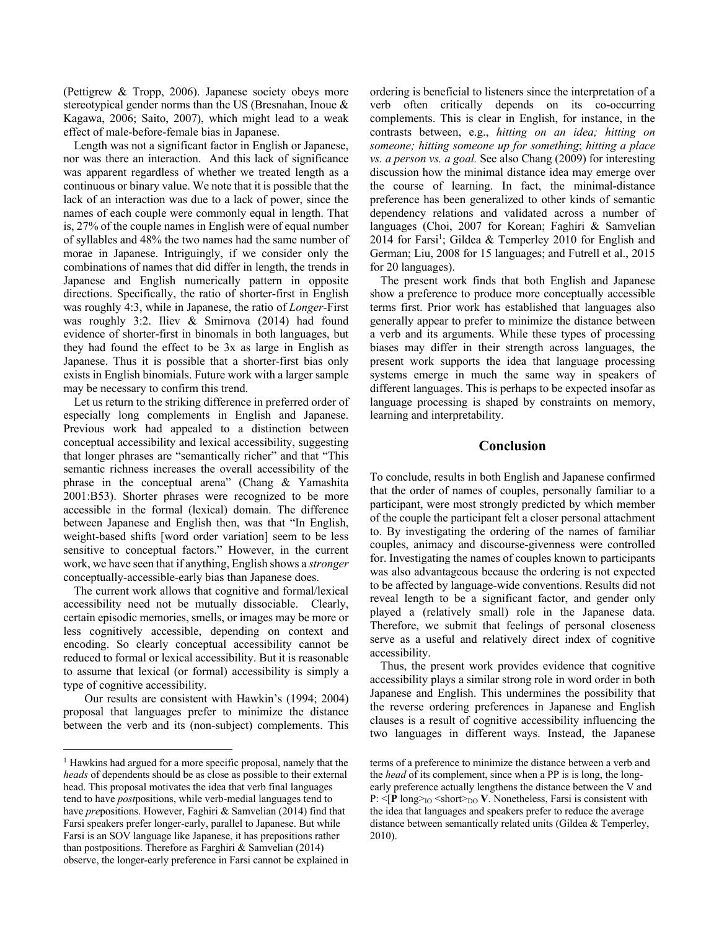(Pettigrew & Tropp, 2006). Japanese society obeys more stereotypical gender norms than the US (Bresnahan, Inoue & Kagawa, 2006; Saito, 2007), which might lead to a weak effect of male-before-female bias in Japanese.

Length was not a significant factor in English or Japanese, nor was there an interaction. And this lack of significance was apparent regardless of whether we treated length as a continuous or binary value. We note that it is possible that the lack of an interaction was due to a lack of power, since the names of each couple were commonly equal in length. That is, 27% of the couple names in English were of equal number of syllables and 48% the two names had the same number of morae in Japanese. Intriguingly, if we consider only the combinations of names that did differ in length, the trends in Japanese and English numerically pattern in opposite directions. Specifically, the ratio of shorter-first in English was roughly 4:3, while in Japanese, the ratio of *Longer*-First was roughly 3:2. Iliev & Smirnova (2014) had found evidence of shorter-first in binomals in both languages, but they had found the effect to be 3x as large in English as Japanese. Thus it is possible that a shorter-first bias only exists in English binomials. Future work with a larger sample may be necessary to confirm this trend.

Let us return to the striking difference in preferred order of especially long complements in English and Japanese. Previous work had appealed to a distinction between conceptual accessibility and lexical accessibility, suggesting that longer phrases are "semantically richer" and that "This semantic richness increases the overall accessibility of the phrase in the conceptual arena" (Chang & Yamashita 2001:B53). Shorter phrases were recognized to be more accessible in the formal (lexical) domain. The difference between Japanese and English then, was that "In English, weight-based shifts [word order variation] seem to be less sensitive to conceptual factors." However, in the current work, we have seen that if anything, English shows a *stronger* conceptually-accessible-early bias than Japanese does.

The current work allows that cognitive and formal/lexical accessibility need not be mutually dissociable. Clearly, certain episodic memories, smells, or images may be more or less cognitively accessible, depending on context and encoding. So clearly conceptual accessibility cannot be reduced to formal or lexical accessibility. But it is reasonable to assume that lexical (or formal) accessibility is simply a type of cognitive accessibility.

Our results are consistent with Hawkin's (1994; 2004) proposal that languages prefer to minimize the distance between the verb and its (non-subject) complements. This ordering is beneficial to listeners since the interpretation of a verb often critically depends on its co-occurring complements. This is clear in English, for instance, in the contrasts between, e.g., *hitting on an idea; hitting on someone; hitting someone up for something*; *hitting a place vs. a person vs. a goal.* See also Chang (2009) for interesting discussion how the minimal distance idea may emerge over the course of learning. In fact, the minimal-distance preference has been generalized to other kinds of semantic dependency relations and validated across a number of languages (Choi, 2007 for Korean; Faghiri & Samvelian 2014 for Farsi<sup>1</sup>; Gildea & Temperley 2010 for English and German; Liu, 2008 for 15 languages; and Futrell et al., 2015 for 20 languages).

The present work finds that both English and Japanese show a preference to produce more conceptually accessible terms first. Prior work has established that languages also generally appear to prefer to minimize the distance between a verb and its arguments. While these types of processing biases may differ in their strength across languages, the present work supports the idea that language processing systems emerge in much the same way in speakers of different languages. This is perhaps to be expected insofar as language processing is shaped by constraints on memory, learning and interpretability.

# **Conclusion**

To conclude, results in both English and Japanese confirmed that the order of names of couples, personally familiar to a participant, were most strongly predicted by which member of the couple the participant felt a closer personal attachment to. By investigating the ordering of the names of familiar couples, animacy and discourse-givenness were controlled for. Investigating the names of couples known to participants was also advantageous because the ordering is not expected to be affected by language-wide conventions. Results did not reveal length to be a significant factor, and gender only played a (relatively small) role in the Japanese data. Therefore, we submit that feelings of personal closeness serve as a useful and relatively direct index of cognitive accessibility.

Thus, the present work provides evidence that cognitive accessibility plays a similar strong role in word order in both Japanese and English. This undermines the possibility that the reverse ordering preferences in Japanese and English clauses is a result of cognitive accessibility influencing the two languages in different ways. Instead, the Japanese

<sup>&</sup>lt;sup>1</sup> Hawkins had argued for a more specific proposal, namely that the *heads* of dependents should be as close as possible to their external head. This proposal motivates the idea that verb final languages tend to have *post*positions, while verb-medial languages tend to have *pre*positions. However, Faghiri & Samvelian (2014) find that Farsi speakers prefer longer-early, parallel to Japanese. But while Farsi is an SOV language like Japanese, it has prepositions rather than postpositions. Therefore as Farghiri & Samvelian (2014) observe, the longer-early preference in Farsi cannot be explained in

terms of a preference to minimize the distance between a verb and the *head* of its complement, since when a PP is is long, the longearly preference actually lengthens the distance between the V and P: <[**P** long><sub>IO</sub> <short><sub>DO</sub> **V**. Nonetheless, Farsi is consistent with the idea that languages and speakers prefer to reduce the average distance between semantically related units (Gildea & Temperley, 2010).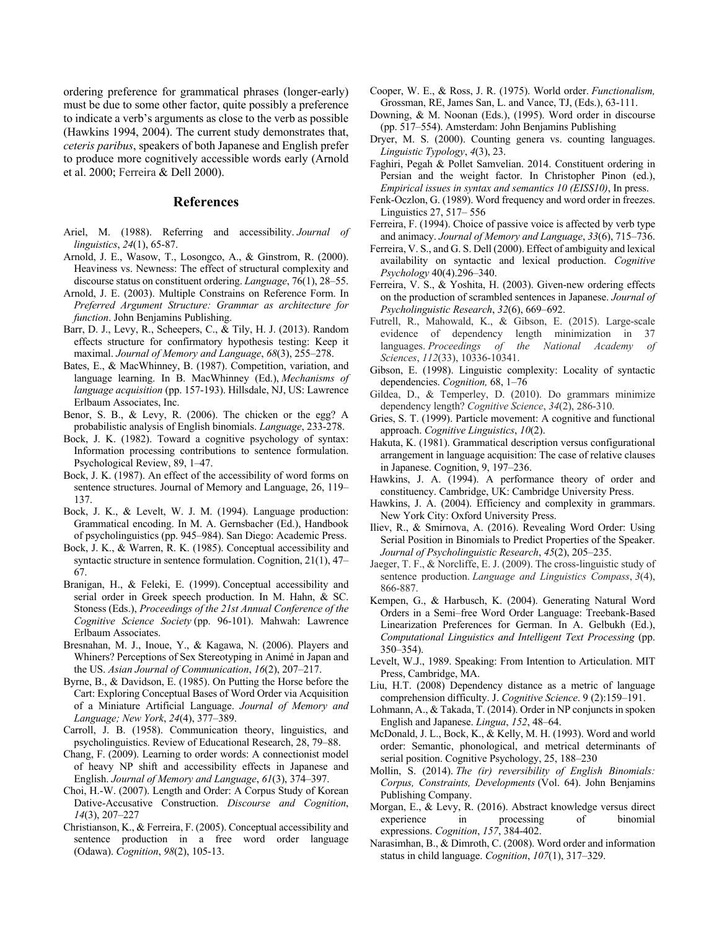ordering preference for grammatical phrases (longer-early) must be due to some other factor, quite possibly a preference to indicate a verb's arguments as close to the verb as possible (Hawkins 1994, 2004). The current study demonstrates that, *ceteris paribus*, speakers of both Japanese and English prefer to produce more cognitively accessible words early (Arnold et al. 2000; Ferreira & Dell 2000).

# **References**

- Ariel, M. (1988). Referring and accessibility. *Journal of linguistics*, *24*(1), 65-87.
- Arnold, J. E., Wasow, T., Losongco, A., & Ginstrom, R. (2000). Heaviness vs. Newness: The effect of structural complexity and discourse status on constituent ordering. *Language*, 76(1), 28–55.
- Arnold, J. E. (2003). Multiple Constrains on Reference Form. In *Preferred Argument Structure: Grammar as architecture for function*. John Benjamins Publishing.
- Barr, D. J., Levy, R., Scheepers, C., & Tily, H. J. (2013). Random effects structure for confirmatory hypothesis testing: Keep it maximal. *Journal of Memory and Language*, *68*(3), 255–278.
- Bates, E., & MacWhinney, B. (1987). Competition, variation, and language learning. In B. MacWhinney (Ed.), *Mechanisms of language acquisition* (pp. 157-193). Hillsdale, NJ, US: Lawrence Erlbaum Associates, Inc.
- Benor, S. B., & Levy, R. (2006). The chicken or the egg? A probabilistic analysis of English binomials. *Language*, 233-278.
- Bock, J. K. (1982). Toward a cognitive psychology of syntax: Information processing contributions to sentence formulation. Psychological Review, 89, 1–47.
- Bock, J. K. (1987). An effect of the accessibility of word forms on sentence structures. Journal of Memory and Language, 26, 119– 137.
- Bock, J. K., & Levelt, W. J. M. (1994). Language production: Grammatical encoding. In M. A. Gernsbacher (Ed.), Handbook of psycholinguistics (pp. 945–984). San Diego: Academic Press.
- Bock, J. K., & Warren, R. K. (1985). Conceptual accessibility and syntactic structure in sentence formulation. Cognition, 21(1), 47– 67.
- Branigan, H., & Feleki, E. (1999). Conceptual accessibility and serial order in Greek speech production. In M. Hahn, & SC. Stoness (Eds.), *Proceedings of the 21st Annual Conference of the Cognitive Science Society* (pp. 96-101). Mahwah: Lawrence Erlbaum Associates.
- Bresnahan, M. J., Inoue, Y., & Kagawa, N. (2006). Players and Whiners? Perceptions of Sex Stereotyping in Animé in Japan and the US. *Asian Journal of Communication*, *16*(2), 207–217.
- Byrne, B., & Davidson, E. (1985). On Putting the Horse before the Cart: Exploring Conceptual Bases of Word Order via Acquisition of a Miniature Artificial Language. *Journal of Memory and Language; New York*, *24*(4), 377–389.
- Carroll, J. B. (1958). Communication theory, linguistics, and psycholinguistics. Review of Educational Research, 28, 79–88.
- Chang, F. (2009). Learning to order words: A connectionist model of heavy NP shift and accessibility effects in Japanese and English. *Journal of Memory and Language*, *61*(3), 374–397.
- Choi, H.-W. (2007). Length and Order: A Corpus Study of Korean Dative-Accusative Construction. *Discourse and Cognition*, *14*(3), 207–227
- Christianson, K., & Ferreira, F. (2005). Conceptual accessibility and sentence production in a free word order language (Odawa). *Cognition*, *98*(2), 105-13.
- Cooper, W. E., & Ross, J. R. (1975). World order. *Functionalism,*  Grossman, RE, James San, L. and Vance, TJ, (Eds.), 63-111.
- Downing, & M. Noonan (Eds.), (1995). Word order in discourse (pp. 517–554). Amsterdam: John Benjamins Publishing
- Dryer, M. S. (2000). Counting genera vs. counting languages. *Linguistic Typology*, *4*(3), 23.
- Faghiri, Pegah & Pollet Samvelian. 2014. Constituent ordering in Persian and the weight factor. In Christopher Pinon (ed.), *Empirical issues in syntax and semantics 10 (EISS10)*, In press.
- Fenk-Oczlon, G. (1989). Word frequency and word order in freezes. Linguistics 27, 517– 556
- Ferreira, F. (1994). Choice of passive voice is affected by verb type and animacy. *Journal of Memory and Language*, *33*(6), 715–736.
- Ferreira, V. S., and G. S. Dell (2000). Effect of ambiguity and lexical availability on syntactic and lexical production. *Cognitive Psychology* 40(4).296–340.
- Ferreira, V. S., & Yoshita, H. (2003). Given-new ordering effects on the production of scrambled sentences in Japanese. *Journal of Psycholinguistic Research*, *32*(6), 669–692.
- Futrell, R., Mahowald, K., & Gibson, E. (2015). Large-scale evidence of dependency length minimization in 37 languages. *Proceedings of the National Academy of Sciences*, *112*(33), 10336-10341.
- Gibson, E. (1998). Linguistic complexity: Locality of syntactic dependencies. *Cognition,* 68, 1–76
- Gildea, D., & Temperley, D. (2010). Do grammars minimize dependency length? *Cognitive Science*, *34*(2), 286-310.
- Gries, S. T. (1999). Particle movement: A cognitive and functional approach. *Cognitive Linguistics*, *10*(2).
- Hakuta, K. (1981). Grammatical description versus configurational arrangement in language acquisition: The case of relative clauses in Japanese. Cognition, 9, 197–236.
- Hawkins, J. A. (1994). A performance theory of order and constituency. Cambridge, UK: Cambridge University Press.
- Hawkins, J. A. (2004). Efficiency and complexity in grammars. New York City: Oxford University Press.
- Iliev, R., & Smirnova, A. (2016). Revealing Word Order: Using Serial Position in Binomials to Predict Properties of the Speaker. *Journal of Psycholinguistic Research*, *45*(2), 205–235.
- Jaeger, T. F., & Norcliffe, E. J. (2009). The cross‐linguistic study of sentence production. *Language and Linguistics Compass*, *3*(4), 866-887.
- Kempen, G., & Harbusch, K. (2004). Generating Natural Word Orders in a Semi–free Word Order Language: Treebank-Based Linearization Preferences for German. In A. Gelbukh (Ed.), *Computational Linguistics and Intelligent Text Processing* (pp. 350–354).
- Levelt, W.J., 1989. Speaking: From Intention to Articulation. MIT Press, Cambridge, MA.
- Liu, H.T. (2008) Dependency distance as a metric of language comprehension difficulty. J. *Cognitive Science*. 9 (2):159–191.
- Lohmann, A., & Takada, T. (2014). Order in NP conjuncts in spoken English and Japanese. *Lingua*, *152*, 48–64.
- McDonald, J. L., Bock, K., & Kelly, M. H. (1993). Word and world order: Semantic, phonological, and metrical determinants of serial position. Cognitive Psychology, 25, 188–230
- Mollin, S. (2014). *The (ir) reversibility of English Binomials: Corpus, Constraints, Developments* (Vol. 64). John Benjamins Publishing Company.
- Morgan, E., & Levy, R. (2016). Abstract knowledge versus direct experience in processing of binomial expressions. *Cognition*, *157*, 384-402.
- Narasimhan, B., & Dimroth, C. (2008). Word order and information status in child language. *Cognition*, *107*(1), 317–329.